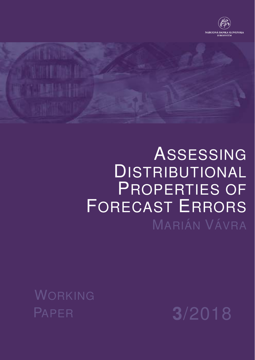



# ASSESSING DISTRIBUTIONAL PROPERTIES OF FORECAST ERRORS MARIÁN VÁVRA

WORKING PAPER **3**/2018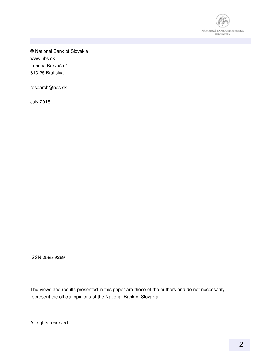

© National Bank of Slovakia www.nbs.sk Imricha Karvaša 1 813 25 Bratislva

research@nbs.sk

July 2018

ISSN 2585-9269

The views and results presented in this paper are those of the authors and do not necessarily represent the official opinions of the National Bank of Slovakia.

All rights reserved.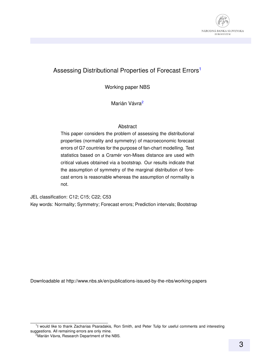

#### Assessing Distributional Properties of Forecast Errors<sup>[1](#page-2-0)</sup>

Working paper NBS

Marián Vávra<sup>[2](#page-2-1)</sup>

#### Abstract

This paper considers the problem of assessing the distributional properties (normality and symmetry) of macroeconomic forecast errors of G7 countries for the purpose of fan-chart modelling. Test statistics based on a Cramér von-Mises distance are used with critical values obtained via a bootstrap. Our results indicate that the assumption of symmetry of the marginal distribution of forecast errors is reasonable whereas the assumption of normality is not.

JEL classification: C12; C15; C22; C53 Key words: Normality; Symmetry; Forecast errors; Prediction intervals; Bootstrap

Downloadable at http://www.nbs.sk/en/publications-issued-by-the-nbs/working-papers

<span id="page-2-0"></span><sup>&</sup>lt;sup>1</sup>I would like to thank Zacharias Psaradakis, Ron Smith, and Peter Tulip for useful comments and interesting suggestions. All remaining errors are only mine.

<span id="page-2-1"></span> $2^{\circ}$ Marián Vávra, Research Department of the NBS.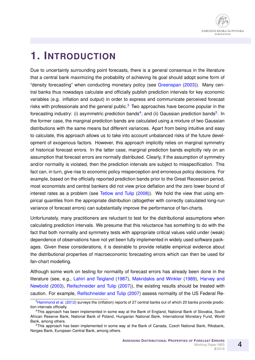

## **1. INTRODUCTION**

Due to uncertainty surrounding point forecasts, there is a general consensus in the literature that a central bank maximizing the probability of achieving its goal should adopt some form of "density forecasting" when conducting monetary policy (see [Greenspan](#page-12-0) [\(2003\)](#page-12-0)). Many central banks thus nowadays calculate and officially publish prediction intervals for key economic variables (e.g. inflation and output) in order to express and communicate perceived forecast risks with professionals and the general public.<sup>[3](#page-3-0)</sup> Two approaches have become popular in the forecasting industry: (i) asymmetric prediction bands<sup>[4](#page-3-1)</sup>; and (ii) Gaussian prediction bands<sup>[5](#page-3-2)</sup>. In the former case, the marginal prediction bands are calculated using a mixture of two Gaussian distributions with the same means but different variances. Apart from being intuitive and easy to calculate, this approach allows us to take into account unbalanced risks of the future development of exogenous factors. However, this approach implicitly relies on marginal symmetry of historical forecast errors. In the latter case, marginal prediction bands explicitly rely on an assumption that forecast errors are normally distributed. Clearly, if the assumption of symmetry and/or normality is violated, then the prediction intervals are subject to misspecification. This fact can, in turn, give rise to economic policy misperception and erroneous policy decisions. For example, based on the officially reported prediction bands prior to the Great Recession period, most economists and central bankers did not view price deflation and the zero lower bound of interest rates as a problem (see [Tetlow and Tulip](#page-13-0) [\(2008\)](#page-13-0)). We hold the view that using empirical quantiles from the appropriate distribution (altogether with correctly calculated long-run variance of forecast errors) can substantially improve the performance of fan-charts.

Unfortunately, many practitioners are reluctant to test for the distributional assumptions when calculating prediction intervals. We presume that this reluctance has something to do with the fact that both normality and symmetry tests with appropriate critical values valid under (weak) dependence of observations have not yet been fully implemented in widely used software packages. Given these considerations, it is desirable to provide reliable empirical evidence about the distributional properties of macroeconomic forecasting errors which can then be used for fan-chart modelling.

Although some work on testing for normality of forecast errors has already been done in the literature (see, e.g., [Lahiri and Teigland](#page-12-1) [\(1987\)](#page-12-1), [Makridakis and Winkler](#page-13-1) [\(1989\)](#page-13-1), [Harvey and](#page-12-2) [Newbold](#page-12-2) [\(2003\)](#page-12-2), [Reifschneider and Tulip](#page-13-2) [\(2007\)](#page-13-2)), the existing results should be treated with caution. For example, [Reifschneider and Tulip](#page-13-2) [\(2007\)](#page-13-2) assess normality of the US Federal Re-

<span id="page-3-0"></span><sup>&</sup>lt;sup>3</sup>[Hammond et al.](#page-12-3) [\(2012\)](#page-12-3) surveys the (inflation) reports of 27 central banks out of which 20 banks provide prediction intervals officially.

<span id="page-3-1"></span><sup>4</sup>This approach has been implemented in some way at the Bank of England, National Bank of Slovakia, South African Reserve Bank, National Bank of Poland, Hungarian National Bank, International Monetary Fund, World Bank, among others.

<span id="page-3-2"></span><sup>&</sup>lt;sup>5</sup>This approach has been implemented in some way at the Bank of Canada, Czech National Bank, Riksbank, Norges Bank, European Central Bank, among others.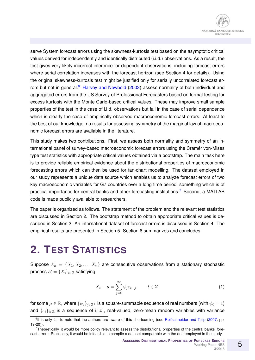serve System forecast errors using the skewness-kurtosis test based on the asymptotic critical values derived for independently and identically distributed (i.i.d.) observations. As a result, the test gives very likely incorrect inference for dependent observations, including forecast errors where serial correlation increases with the forecast horizon (see Section 4 for details). Using the original skewness-kurtosis test might be justified only for serially uncorrelated forecast er-rors but not in general.<sup>[6](#page-4-0)</sup> [Harvey and Newbold](#page-12-2) [\(2003\)](#page-12-2) assess normality of both individual and aggregated errors from the US Survey of Professional Forecasters based on formal testing for excess kurtosis with the Monte Carlo-based critical values. These may improve small sample properties of the test in the case of i.i.d. observations but fail in the case of serial dependence which is clearly the case of empirically observed macroeconomic forecast errors. At least to the best of our knowledge, no results for assessing symmetry of the marginal law of macroeconomic forecast errors are available in the literature.

This study makes two contributions. First, we assess both normality and symmetry of an international panel of survey-based macroeconomic forecast errors using the Cramer von-Mises type test statistics with appropriate critical values obtained via a bootstrap. The main task here is to provide reliable empirical evidence about the distributional properties of macroeconomic forecasting errors which can then be used for fan-chart modelling. The dataset employed in our study represents a unique data source which enables us to analyze forecast errors of two key macroeconomic variables for G7 countries over a long time period, something which is of practical importance for central banks and other forecasting institutions.<sup>[7](#page-4-1)</sup> Second, a MATLAB code is made publicly available to researchers.

The paper is organized as follows. The statement of the problem and the relevant test statistics are discussed in Section 2. The bootstrap method to obtain appropriate critical values is described in Section 3. An international dataset of forecast errors is discussed in Section 4. The empirical results are presented in Section 5. Section 6 summarizes and concludes.

# **2. TEST STATISTICS**

Suppose  $\mathcal{X}_n = \{X_1, X_2, \ldots, X_n\}$  are consecutive observations from a stationary stochastic process  $\mathcal{X} = \{X_t\}_{t \in \mathbb{Z}}$  satisfying

<span id="page-4-2"></span>
$$
X_t - \mu = \sum_{j=0}^{\infty} \psi_j \varepsilon_{t-j}, \qquad t \in \mathbb{Z}, \tag{1}
$$

for some  $\mu \in \mathbb{R}$ , where  $\{\psi_j\}_{j\in \mathbb{Z}^+}$  is a square-summable sequence of real numbers (with  $\psi_0 = 1$ ) and  $\{\varepsilon_t\}_{t\in\mathbb{Z}}$  is a sequence of i.i.d., real-valued, zero-mean random variables with variance

<span id="page-4-0"></span><sup>&</sup>lt;sup>6</sup>It is only fair to note that the authors are aware of this shortcoming (see [Reifschneider and Tulip](#page-13-2) [\(2007,](#page-13-2) pp. 19-20)).

<span id="page-4-1"></span> $7$ Theoretically, it would be more policy relevant to assess the distributional properties of the central banks' forecast errors. Practically, it would be infeasible to compile a dataset comparable with the one employed in the study.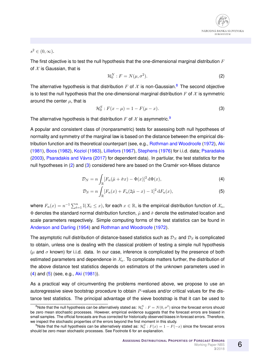

#### $s^2 \in (0,\infty).$

The first objective is to test the null hypothesis that the one-dimensional marginal distribution  $F$ of  $X$  is Gaussian, that is

<span id="page-5-2"></span>
$$
\mathcal{H}_0^N : F = N(\mu, \sigma^2). \tag{2}
$$

The alternative hypothesis is that distribution F of X is non-Gaussian.<sup>[8](#page-5-0)</sup> The second objective is to test the null hypothesis that the one-dimensional marginal distribution  $F$  of  $\mathcal X$  is symmetric around the center  $\mu$ , that is

<span id="page-5-3"></span>
$$
\mathcal{H}_0^S : F(x - \mu) = 1 - F(\mu - x). \tag{3}
$$

The alternative hypothesis is that distribution F of X is asymmetric.<sup>[9](#page-5-1)</sup>

A popular and consistent class of (nonparametric) tests for assessing both null hypotheses of normality and symmetry of the marginal law is based on the distance between the empirical distribution function and its theoretical counterpart (see, e.g., [Rothman and Woodroofe](#page-13-3) [\(1972\)](#page-13-3), [Aki](#page-12-4) [\(1981\)](#page-12-4), [Boos](#page-12-5) [\(1982\)](#page-12-5), [Koziol](#page-12-6) [\(1983\)](#page-12-6), [Lilliefors](#page-12-7) [\(1967\)](#page-12-7), [Stephens](#page-13-4) [\(1976\)](#page-13-4) for i.i.d. data; [Psaradakis](#page-13-5) [\(2003\)](#page-13-5), Psaradakis and Vávra [\(2017\)](#page-13-6) for dependent data). In partiular, the test statistics for the null hypotheses in  $(2)$  and  $(3)$  considered here are based on the Cramer von-Mises distance

<span id="page-5-4"></span>
$$
\mathcal{D}_N = n \int_{\mathbb{R}} [F_n(\hat{\mu} + \hat{\sigma}x) - \Phi(x)]^2 d\Phi(x), \tag{4}
$$

<span id="page-5-5"></span>
$$
\mathcal{D}_S = n \int_{\mathbb{R}} [F_n(x) + F_n(2\hat{\mu} - x) - 1]^2 dF_n(x), \tag{5}
$$

where  $F_n(x)=n^{-1}\sum_{t=1}^n \mathbb{I}(X_t\leq x),$  for each  $x\in\mathbb{R},$  is the empirical distribution function of  $\mathcal{X}_n,$  $\Phi$  denotes the standard normal distribution function,  $\hat{\mu}$  and  $\hat{\sigma}$  denote the estimated location and scale parameters respectively. Simple computing forms of the test statistics can be found in [Anderson and Darling](#page-12-8) [\(1954\)](#page-12-8) and [Rothman and Woodroofe](#page-13-3) [\(1972\)](#page-13-3).

The asymptotic null distribution of distance-based statistics such as  $\mathcal{D}_N$  and  $\mathcal{D}_S$  is complicated to obtain, unless one is dealing with the classical problem of testing a simple null hypothesis ( $\mu$  and  $\sigma$  known) for i.i.d. data. In our case, inference is complicated by the presence of both estimated parameters and dependence in  $\mathcal{X}_n$ . To complicate matters further, the distribution of the above distance test statistics depends on estimators of the unknown parameters used in [\(4\)](#page-5-4) and [\(5\)](#page-5-5) (see, e.g., [Aki](#page-12-4) [\(1981\)](#page-12-4)).

As a practical way of circumventing the problems mentioned above, we propose to use an autoregressive sieve bootstrap procedure to obtain  $P$ -values and/or critical values for the distance test statistics. The principal advantage of the sieve bootstrap is that it can be used to

<span id="page-5-0"></span> $^8$ Note that the null hypothesis can be alternatively stated as:  ${\cal H}_0^N$  :  $F=N(0,\sigma^2)$  since the forecast errors should be zero mean stochastic processes. However, empirical evidence suggests that the forecast errors are biased in small samples. The official forecasts are thus corrected for historically observed biases in forecast errors. Therefore, we inspect the stochastic properties of the errors beyond the first moment in this study.

<span id="page-5-1"></span> $^9$ Note that the null hypothesis can be alternatively stated as:  $\mathcal{H}_0^S$  :  $F(x)=1-F(-x)$  since the forecast errors should be zero mean stochastic processes. See Footnote 6 for an explanation.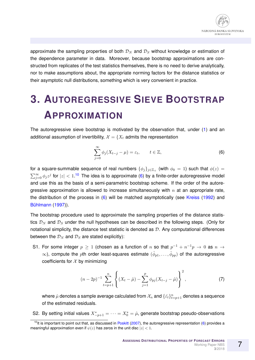approximate the sampling properties of both  $\mathcal{D}_N$  and  $\mathcal{D}_S$  without knowledge or estimation of the dependence parameter in data. Moreover, because bootstrap approximations are constructed from replicates of the test statistics themselves, there is no need to derive analytically, nor to make assumptions about, the appropriate norming factors for the distance statistics or their asymptotic null distributions, something which is very convenient in practice.

# **3. AUTOREGRESSIVE SIEVE BOOTSTRAP APPROXIMATION**

The autoregressive sieve bootstrap is motivated by the observation that, under [\(1\)](#page-4-2) and an additional assumption of invertibility,  $\mathcal{X} = \{X_t \text{ admits the representation }$ 

<span id="page-6-1"></span>
$$
\sum_{j=0}^{\infty} \phi_j (X_{t-j} - \mu) = \varepsilon_t, \qquad t \in \mathbb{Z}, \tag{6}
$$

for a square-summable sequence of real numbers  $\{\phi_j\}_{j\in\mathbb{Z}_+}$  (with  $\phi_0\,=\,1)$  such that  $\phi(z)\,=\,$  $\sum_{j=0}^{\infty}\phi_jz^j$  for  $|z|< 1.1$ <sup>0</sup> The idea is to approximate [\(6\)](#page-6-1) by a finite-order autoregressive model and use this as the basis of a semi-parametric bootstrap scheme. If the order of the autoregressive approximation is allowed to increase simultaneously with  $n$  at an appropriate rate, the distribution of the process in  $(6)$  will be matched asymptotically (see [Kreiss](#page-12-9) [\(1992\)](#page-12-9) and Bühlmann [\(1997\)](#page-12-10)).

The bootstrap procedure used to approximate the sampling properties of the distance statistics  $\mathcal{D}_N$  and  $\mathcal{D}_S$  under the null hypotheses can be described in the following steps. (Only for notational simplicity, the distance test statistic is denoted as  $D$ . Any computational differences between the  $\mathcal{D}_N$  and  $\mathcal{D}_S$  are stated explicitly):

S1. For some integer  $p \geq 1$  (chosen as a function of n so that  $p^{-1} + n^{-1}p \rightarrow 0$  as  $n \rightarrow$  $\infty$ ), compute the  $p$ th order least-squares estimate  $(\hat{\phi}_{p1},\ldots,\hat{\phi}_{pp})$  of the autoregressive coefficients for  $X$  by minimizing

<span id="page-6-2"></span>
$$
(n-2p)^{-1} \sum_{t=p+1}^{n} \left\{ (X_t - \hat{\mu}) - \sum_{j=1}^{p} \phi_{pj} (X_{t-j} - \hat{\mu}) \right\}^2, \tag{7}
$$

where  $\hat{\mu}$  denotes a sample average calculated from  $\mathcal{X}_n$  and  $\{\hat{\varepsilon_t}\}_{t=p+1}^n$  denotes a sequence of the estimated residuals.

S2. By setting initial values  $X_{-p+1}^* = \cdots = X_0^* = \hat{\mu}$ , generate bootstrap pseudo-observations

<span id="page-6-0"></span> $10$ It is important to point out that, as discussed in [Poskitt](#page-13-7) [\(2007\)](#page-13-7), the autoregressive representation [\(6\)](#page-6-1) provides a meaningful approximation even if  $\psi(z)$  has zeros in the unit disc  $|z| < 1$ .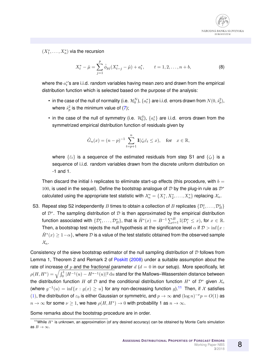

 $(X_1^*,\ldots,X_n^*)$  via the recursion

<span id="page-7-1"></span>
$$
X_t^* - \hat{\mu} = \sum_{j=1}^p \hat{\phi}_{pj}(X_{t-j}^* - \hat{\mu}) + a_t^*, \qquad t = 1, 2, \dots, n + b,
$$
 (8)

where the  $a_t^{\ast}$ 's are i.i.d. random variables having mean zero and drawn from the empirical distribution function which is selected based on the purpose of the analysis:

- $\bullet\,$  in the case of the null of normality (i.e.  $\,\mathcal{H}^N_0),\,\{a^*_t\}$  are i.i.d. errors drawn from  $N(0,\hat{s}^2_p),\,$ where  $\hat{s}^2_p$  is the minimum value of [\(7\)](#page-6-2);
- in the case of the null of symmetry (i.e.  $\mathcal{H}_0^S$ ),  $\{a_t^*\}$  are i.i.d. errors drawn from the symmetrized empirical distribution function of residuals given by

$$
\hat{G}_n(x) = (n-p)^{-1} \sum_{t=p+1}^n \mathbf{I}(\zeta_t \hat{\varepsilon}_t \le x), \quad \text{for} \quad x \in \mathbb{R},
$$

where  $\{\hat{\varepsilon}_t\}$  is a sequence of the estimated residuals from step S1 and  $\{\zeta_t\}$  is a sequence of i.i.d. random variables drawn from the discrete uniform distribution on -1 and 1.

Then discard the initial b replicates to eliminate start-up effects (this procedure, with  $b =$ 100, is used in the sequel). Define the bootstrap analogue of D by the plug-in rule as  $\mathcal{D}^*$ calculated using the appropriate test statistic with  $\mathcal{X}_n^* = \{X_1^*, X_2^*, \ldots, X_n^*\}$  replacing  $\mathcal{X}_n$ .

S3. Repeat step S2 independently  $B$  times to obtain a collection of  $B$  replicates  $\{\mathcal{D}_1^*,\ldots,\mathcal{D}_B^*\}$ of  $\mathcal{D}^*$ . The sampling distribution of  $\mathcal D$  is then approximated by the empirical distribution function associated with  $\{\mathcal{D}^*_1,\ldots,\mathcal{D}^*_B\}$ , that is  $\hat{H}^*(x)=B^{-1}\sum_{i=1}^B \mathbb{I}(\mathcal{D}^*_i\leq x),$  for  $x\in\mathbb{R}.$ Then, a bootstrap test rejects the null hypothesis at the significance level  $\alpha$  if  $\mathcal{D} > \inf\{x :$  $\hat{H}^*(x) \geq 1-\alpha\},$  where  ${\cal D}$  is a value of the test statistic obtained from the observed sample  $\mathcal{X}_n$ .

Consistency of the sieve bootstrap estimator of the null sampling distribution of  $D$  follows from Lemma 1, Theorem 2 and Remark 2 of [Poskitt](#page-13-8) [\(2008\)](#page-13-8) under a suitable assumption about the rate of increase of p and the fractional parameter  $d$  ( $d = 0$  in our setup). More specifically, let  $\rho(H,H^*)=\sqrt{\int_{0}^1|H^{-1}(u)-H^{*-1}(u)|^2\,\mathrm{d}u}$  stand for the Mallows–Wasserstein distance between the distribution function H of D and the conditional distribution function  $H^*$  of  $\mathcal{D}^*$  given  $\mathcal{X}_n$ (where  $g^{-1}(u) = \inf\{x : g(x) \geq u\}$  for any non-decreasing function g).<sup>[11](#page-7-0)</sup> Then, if X satisfies [\(1\)](#page-4-2), the distribution of  $\varepsilon_0$  is either Gaussian or symmetric, and  $p \to \infty$  and  $(\log n)^{-\nu}p = O(1)$  as  $n \to \infty$  for some  $\nu \geq 1$ , we have  $\rho(H, H^*) \to 0$  with probability 1 as  $n \to \infty$ .

Some remarks about the bootstrap procedure are in order.

<span id="page-7-0"></span><sup>&</sup>lt;sup>11</sup>While  $H^*$  is unknown, an approximation (of any desired accuracy) can be obtained by Monte Carlo simulation as  $B \to \infty$ .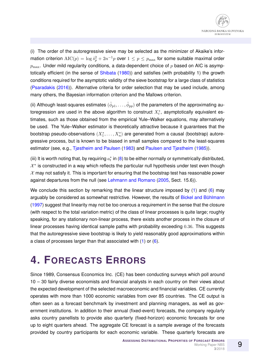(i) The order of the autoregressive sieve may be selected as the minimizer of Akaike's information criterion  $\text{AIC}(p) = \log \hat{s}_p^2 + 2n^{-1}p$  over  $1 \leq p \leq p_{\text{max}}$  for some suitable maximal order  $p_{\text{max}}$ . Under mild regularity conditions, a data-dependent choice of p based on AIC is asymptotically efficient (in the sense of [Shibata](#page-13-9) [\(1980\)](#page-13-9)) and satisfies (with probability 1) the growth conditions required for the asymptotic validity of the sieve bootstrap for a large class of statistics [\(Psaradakis](#page-13-10) [\(2016\)](#page-13-10)). Alternative criteria for order selection that may be used include, among many others, the Bayesian information criterion and the Mallows criterion.

(ii) Although least-squares estimates  $(\hat{\phi}_{p1},\ldots,\hat{\phi}_{pp})$  of the parameters of the approximating autoregression are used in the above algorithm to construct  $X_t^*$ , asymptotically equivalent estimates, such as those obtained from the empirical Yule–Walker equations, may alternatively be used. The Yule–Walker estimator is theoretically attractive because it guarantees that the bootstrap pseudo-observations  $(X_1^*,\ldots,X_n^*)$  are generated from a causal (bootstrap) autoregressive process, but is known to be biased in small samples compared to the least-squares estimator (see, e.g., [Tjøstheim and Paulsen](#page-13-11) [\(1983\)](#page-13-11) and [Paulsen and Tjøstheim](#page-13-12) [\(1985\)](#page-13-12)).

(iii) It is worth noting that, by requiring  $a_t^*$  in [\(8\)](#page-7-1) to be either normally or symmetrically distributed,  $X^*$  is constructed in a way which reflects the particular null hypothesis under test even though  $X$  may not satisfy it. This is important for ensuring that the bootstrap test has reasonable power against departures from the null (see [Lehmann and Romano](#page-12-11) [\(2005,](#page-12-11) Sect. 15.6)).

We conclude this section by remarking that the linear structure imposed by [\(1\)](#page-4-2) and [\(6\)](#page-6-1) may arguably be considered as somewhat restrictive. However, the results of Bickel and Bühlmann [\(1997\)](#page-12-12) suggest that linearity may not be too onerous a requirement in the sense that the closure (with respect to the total variation metric) of the class of linear processes is quite large; roughly speaking, for any stationary non-linear process, there exists another process in the closure of linear processes having identical sample paths with probability exceeding 0.36. This suggests that the autoregressive sieve bootstrap is likely to yield reasonably good approximations within a class of processes larger than that associated with [\(1\)](#page-4-2) or [\(6\)](#page-6-1).

# **4. FORECASTS ERRORS**

Since 1989, Consensus Economics Inc. (CE) has been conducting surveys which poll around 10 – 30 fairly diverse economists and financial analysts in each country on their views about the expected development of the selected macroeconomic and financial variables. CE currently operates with more than 1000 economic variables from over 85 countries. The CE output is often seen as a forecast benchmark by investment and planning managers, as well as government institutions. In addition to their annual (fixed-event) forecasts, the company regularly asks country panellists to provide also quarterly (fixed-horizon) economic forecasts for one up to eight quarters ahead. The aggregate CE forecast is a sample average of the forecasts provided by country participants for each economic variable. These quarterly forecasts are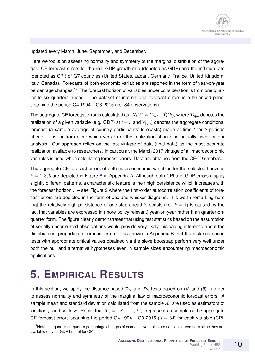updated every March, June, September, and December.

Here we focus on assessing normality and symmetry of the marginal distribution of the aggregate CE forecast errors for the real GDP growth rate (denoted as GDP) and the inflation rate (denoted as CPI) of G7 countries (United States, Japan, Germany, France, United Kingdom, Italy, Canada). Forecasts of both economic variables are reported in the form of year-on-year percentage changes.<sup>[12](#page-9-0)</sup> The forecast horizon of variables under consideration is from one quarter to six quarters ahead. The dataset of international forecast errors is a balanced panel spanning the period Q4 1994 – Q3 2015 (i.e. 84 observations).

The aggregate CE forecast error is calculated as:  $X_t(h) = Y_{t+h} - \hat{Y}_t(h)$ , where  $Y_{t+h}$  denotes the realization of a given variable (e.g. GDP) at  $t+h$  and  $\hat{Y}_{t}(h)$  denotes the aggregate conditional forecast (a sample average of country participants' forecasts) made at time  $t$  for  $h$  periods ahead. It is far from clear which version of the realization should be actually used for our analysis. Our approach relies on the last vintage of data (final data) as the most accurate realization available to researchers. In particular, the March 2017 vintage of all macroeconomic variables is used when calculating forecast errors. Data are obtained from the OECD database.

The aggregate CE forecast errors of both macroeconomic variables for the selected horizons  $h = 1, 3, 5$  are depicted in Figure [A](#page-14-0) in Appendix A. Although both CPI and GDP errors display slightly different patterns, a characteristic feature is their high persistence which increases with the forecast horizon  $h$  – see Figure [2](#page-17-0) where the first-order autocorrelation coefficients of forecast errors are depicted in the form of box-and-whisker diagrams. It is worth remarking here that the relatively high persistence of one-step ahead forecasts (i.e.  $h = 1$ ) is caused by the fact that variables are expressed in (more policy relevant) year-on-year rather than quarter-onquarter form. The figure clearly demonstrates that using test statistics based on the assumption of serially uncorrelated observations would provide very likely misleading inference about the distributional properties of forecast errors. It is shown in Appendix B that the distance-based tests with appropriate critical values obtained via the sieve bootstrap perform very well under both the null and alternative hypotheses even in sample sizes encountering macroeconomic applications.

### **5. EMPIRICAL RESULTS**

In this section, we apply the distance-based  $\mathcal{D}_N$  and  $\mathcal{D}_S$  tests based on [\(4\)](#page-5-4) and [\(5\)](#page-5-5) in order to assess normality and symmetry of the marginal law of macroeconomic forecast errors. A sample mean and standard deviation calculated from the sample  $\mathcal{X}_n$  are used as estimators of location  $\mu$  and scale  $\sigma$ . Recall that  $\mathcal{X}_n = \{X_1, \ldots, X_n\}$  represents a sample of the aggregate CE forecast errors spanning the period Q4 1994 – Q3 2015 ( $n = 84$ ) for each variable (CPI,

<span id="page-9-0"></span><sup>&</sup>lt;sup>12</sup>Note that quarter-on-quarter percentage changes of economic variables are not considered here since they are available only for GDP but not for CPI.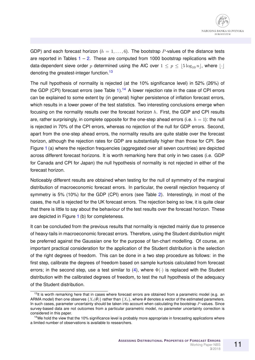GDP) and each forecast horizon ( $h = 1, \ldots, 6$ ). The bootstrap P-values of the distance tests are reported in Tables  $1 - 2$  $1 - 2$ . These are computed from 1000 bootstrap replications with the data-dependent sieve order p determined using the AIC over  $1 \le p \le |5 \log_{10} n|$ , where  $|\cdot|$ denoting the greatest-integer function.<sup>[13](#page-10-0)</sup>

The null hypothesis of normality is rejected (at the 10% significance level) in 52% (26%) of the GDP (CPI) forecast errors (see Table  $1$ ).<sup>[14](#page-10-1)</sup> A lower rejection rate in the case of CPI errors can be explained to some extent by (in general) higher persistence of inflation forecast errors, which results in a lower power of the test statistics. Two interesting conclusions emerge when focusing on the normality results over the forecast horizon  $h$ . First, the GDP and CPI results are, rather surprisingly, in complete opposite for the one-step ahead errors (i.e.  $h = 1$ ): the null is rejected in 70% of the CPI errors, whereas no rejection of the null for GDP errors. Second, apart from the one-step ahead errors, the normality results are quite stable over the forecast horizon, although the rejection rates for GDP are substantially higher than those for CPI. See Figure [1](#page-11-0) (a) where the rejection frequencies (aggregated over all seven countries) are depicted across different forecast horizons. It is worth remarking here that only in two cases (i.e. GDP for Canada and CPI for Japan) the null hypothesis of normality is not rejected in either of the forecast horizon.

Noticeably different results are obtained when testing for the null of symmetry of the marginal distribution of macroeconomic forecast errors. In particular, the overall rejection frequency of symmetry is 5% (10%) for the GDP (CPI) errors (see Table [2\)](#page-14-0). Interestingly, in most of the cases, the null is rejected for the UK forecast errors. The rejection being so low, it is quite clear that there is little to say about the behaviour of the test results over the forecast horizon. These are depicted in Figure [1](#page-11-0) (b) for completeness.

It can be concluded from the previous results that normality is rejected mainly due to presence of heavy-tails in macroeconomic forecast errors. Therefore, using the Student distribution might be preferred against the Gaussian one for the purpose of fan-chart modelling. Of course, an important practical consideration for the application of the Student distribution is the selection of the right degrees of freedom. This can be done in a two step procedure as follows: in the first step, calibrate the degrees of freedom based on sample kurtosis calculated from forecast errors; in the second step, use a test similar to [\(4\)](#page-5-4), where  $\Phi(\cdot)$  is replaced with the Student distribution with the calibrated degrees of freedom, to test the null hypothesis of the adequacy of the Student distribution.

<span id="page-10-0"></span> $13$ It is worth remarking here that in cases where forecast errors are obtained from a parametric model (e.g. an ARMA model) then one observes  $\{X_t(\hat{\theta})\}$  rather than  $\{X_t\}$ , where  $\hat{\theta}$  denotes a vector of the estimated parameters. In such cases, parameter uncertainty should be taken into account when calculating the bootstrap P-values. Since survey-based data are not outcomes from a particular parametric model, no parameter uncertainty correction is considered in this paper.

<span id="page-10-1"></span><sup>&</sup>lt;sup>14</sup>We hold the view that the 10% significance level is probably more appropriate in forecasting applications where a limited number of observations is available to researchers.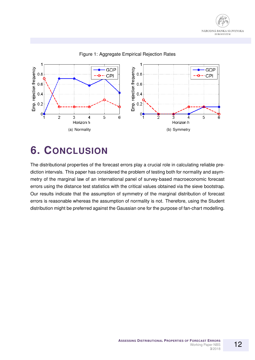



#### <span id="page-11-0"></span>Figure 1: Aggregate Empirical Rejection Rates

### **6. CONCLUSION**

The distributional properties of the forecast errors play a crucial role in calculating reliable prediction intervals. This paper has considered the problem of testing both for normality and asymmetry of the marginal law of an international panel of survey-based macroeconomic forecast errors using the distance test statistics with the critical values obtained via the sieve bootstrap. Our results indicate that the assumption of symmetry of the marginal distribution of forecast errors is reasonable whereas the assumption of normality is not. Therefore, using the Student distribution might be preferred against the Gaussian one for the purpose of fan-chart modelling.

12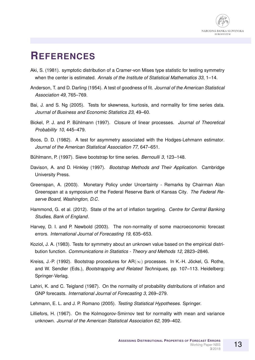

### **REFERENCES**

- <span id="page-12-4"></span>Aki, S. (1981). symptotic distribution of a Cramer-von Mises type statistic for testing symmetry when the center is estimated. *Annals of the Institute of Statistical Mathematics 33*, 1–14.
- <span id="page-12-8"></span>Anderson, T. and D. Darling (1954). A test of goodness of fit. *Journal of the American Statistical Association 49*, 765–769.
- <span id="page-12-13"></span>Bai, J. and S. Ng (2005). Tests for skewness, kurtosis, and normality for time series data. *Journal of Business and Economic Statistics 23*, 49–60.
- <span id="page-12-12"></span>Bickel, P. J. and P. Buhlmann (1997). Closure of linear processes. ¨ *Journal of Theoretical Probability 10*, 445–479.
- <span id="page-12-5"></span>Boos, D. D. (1982). A test for asymmetry associated with the Hodges-Lehmann estimator. *Journal of the American Statistical Association 77*, 647–651.
- <span id="page-12-10"></span>Bühlmann, P. (1997). Sieve bootstrap for time series. *Bernoulli 3*, 123–148.
- <span id="page-12-14"></span>Davison, A. and D. Hinkley (1997). *Bootstrap Methods and Their Application*. Cambridge University Press.
- <span id="page-12-0"></span>Greenspan, A. (2003). Monetary Policy under Uncertainty - Remarks by Chairman Alan Greenspan at a symposium of the Federal Reserve Bank of Kansas City. *The Federal Reserve Board, Washington, D.C*.
- <span id="page-12-3"></span>Hammond, G. et al. (2012). State of the art of inflation targeting. *Centre for Central Banking Studies, Bank of England*.
- <span id="page-12-2"></span>Harvey, D. I. and P. Newbold (2003). The non-normality of some macroeconomic forecast errors. *International Journal of Forecasting 19*, 635–653.
- <span id="page-12-6"></span>Koziol, J. A. (1983). Tests for symmetry about an unknown value based on the empirical distribution function. *Communications in Statistics - Theory and Methods 12*, 2823–2846.
- <span id="page-12-9"></span>Kreiss, J.-P. (1992). Bootstrap procedures for  $AR(\infty)$  processes. In K.-H. Jöckel, G. Rothe, and W. Sendler (Eds.), *Bootstrapping and Related Techniques*, pp. 107–113. Heidelberg: Springer-Verlag.
- <span id="page-12-1"></span>Lahiri, K. and C. Teigland (1987). On the normality of probability distributions of inflation and GNP forecasts. *International Journal of Forecasting 3*, 269–279.
- <span id="page-12-11"></span>Lehmann, E. L. and J. P. Romano (2005). *Testing Statistical Hypotheses*. Springer.
- <span id="page-12-7"></span>Lilliefors, H. (1967). On the Kolmogorov-Smirnov test for normality with mean and variance unknown. *Journal of the American Statistical Association 62*, 399–402.

13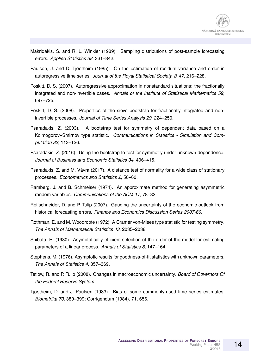

- <span id="page-13-1"></span>Makridakis, S. and R. L. Winkler (1989). Sampling distributions of post-sample forecasting errors. *Applied Statistics 38*, 331–342.
- <span id="page-13-12"></span>Paulsen, J. and D. Tjøstheim (1985). On the estimation of residual variance and order in autoregressive time series. *Journal of the Royal Statistical Society, B 47*, 216–228.
- <span id="page-13-7"></span>Poskitt, D. S. (2007). Autoregressive approximation in nonstandard situations: the fractionally integrated and non-invertible cases. *Annals of the Institute of Statistical Mathematics 59*, 697–725.
- <span id="page-13-8"></span>Poskitt, D. S. (2008). Properties of the sieve bootstrap for fractionally integrated and noninvertible processes. *Journal of Time Series Analysis 29*, 224–250.
- <span id="page-13-5"></span>Psaradakis, Z. (2003). A bootstrap test for symmetry of dependent data based on a Kolmogorov–Smirnov type statistic. *Communications in Statistics - Simulation and Computation 32*, 113–126.
- <span id="page-13-10"></span>Psaradakis, Z. (2016). Using the bootstrap to test for symmetry under unknown dependence. *Journal of Business and Economic Statistics 34*, 406–415.
- <span id="page-13-6"></span>Psaradakis, Z. and M. Vavra (2017). A distance test of normality for a wide class of stationary ´ processes. *Econometrics and Statistics 2*, 50–60.
- <span id="page-13-13"></span>Ramberg, J. and B. Schmeiser (1974). An approximate method for generating asymmetric random variables. *Communications of the ACM 17*, 78–82.
- <span id="page-13-2"></span>Reifschneider, D. and P. Tulip (2007). Gauging the uncertainty of the economic outlook from historical forecasting errors. *Finance and Economics Discussion Series 2007-60*.
- <span id="page-13-3"></span>Rothman, E. and M. Woodroofe (1972). A Cramér von-Mises type statistic for testing symmetry. *The Annals of Mathematical Statistics 43*, 2035–2038.
- <span id="page-13-9"></span>Shibata, R. (1980). Asymptotically efficient selection of the order of the model for estimating parameters of a linear process. *Annals of Statistics 8*, 147–164.
- <span id="page-13-4"></span>Stephens, M. (1976). Asymptotic results for goodness-of-fit statistics with unknown parameters. *The Annals of Statistics 4*, 357–369.
- <span id="page-13-0"></span>Tetlow, R. and P. Tulip (2008). Changes in macroeconomic uncertainty. *Board of Governors Of the Federal Reserve System*.
- <span id="page-13-11"></span>Tjøstheim, D. and J. Paulsen (1983). Bias of some commonly-used time series estimates. *Biometrika 70*, 389–399; Corrigendum (1984), 71, 656.

14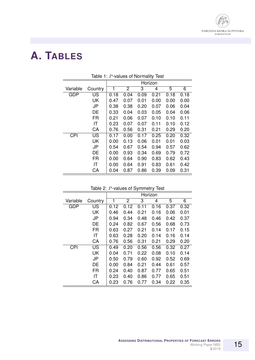

# **A. TABLES**

|            |           |         |                |      | ◢    |      |      |
|------------|-----------|---------|----------------|------|------|------|------|
|            |           | Horizon |                |      |      |      |      |
| Variable   | Country   | 1       | $\overline{2}$ | 3    | 4    | 5    | 6    |
| <b>GDP</b> | US        | 0.18    | 0.04           | 0.09 | 0.21 | 0.18 | 0.18 |
|            | <b>UK</b> | 0.47    | 0.07           | 0.01 | 0.00 | 0.00 | 0.00 |
|            | <b>JP</b> | 0.38    | 0.38           | 0.20 | 0.07 | 0.06 | 0.04 |
|            | DE        | 0.33    | 0.04           | 0.03 | 0.05 | 0.04 | 0.06 |
|            | <b>FR</b> | 0.21    | 0.06           | 0.07 | 0.10 | 0.10 | 0.11 |
|            | IT        | 0.23    | 0.07           | 0.07 | 0.11 | 0.10 | 0.12 |
|            | CA        | 0.76    | 0.56           | 0.31 | 0.21 | 0.29 | 0.20 |
| <b>CPI</b> | US        | 0.17    | 0.00           | 0.17 | 0.25 | 0.20 | 0.32 |
|            | <b>UK</b> | 0.00    | 0.13           | 0.06 | 0.01 | 0.01 | 0.03 |
|            | <b>JP</b> | 0.54    | 0.67           | 0.54 | 0.94 | 0.57 | 0.62 |
|            | DE        | 0.00    | 0.93           | 0.34 | 0.69 | 0.79 | 0.72 |
|            | <b>FR</b> | 0.00    | 0.64           | 0.90 | 0.83 | 0.62 | 0.43 |
|            | IT        | 0.00    | 0.64           | 0.91 | 0.83 | 0.61 | 0.42 |
|            | CA        | 0.04    | 0.87           | 0.86 | 0.39 | 0.09 | 0.31 |

<span id="page-14-1"></span>Table 1: P-values of Normality Test

<span id="page-14-0"></span>

|  | Table 2: P-values of Symmetry Test |  |  |  |
|--|------------------------------------|--|--|--|
|--|------------------------------------|--|--|--|

|            |           | Horizon |                |      |      |      |      |
|------------|-----------|---------|----------------|------|------|------|------|
| Variable   | Country   | 1       | $\overline{c}$ | 3    | 4    | 5    | 6    |
| <b>GDP</b> | US        | 0.12    | 0.12           | 0.11 | 0.16 | 0.37 | 0.32 |
|            | <b>UK</b> | 0.46    | 0.44           | 0.21 | 0.16 | 0.06 | 0.01 |
|            | <b>JP</b> | 0.94    | 0.34           | 0.48 | 0.46 | 0.42 | 0.37 |
|            | <b>DE</b> | 0.24    | 0.82           | 0.67 | 0.56 | 0.68 | 0.73 |
|            | <b>FR</b> | 0.63    | 0.27           | 0.21 | 0.14 | 0.17 | 0.15 |
|            | IT        | 0.63    | 0.28           | 0.20 | 0.14 | 0.16 | 0.14 |
|            | CA        | 0.76    | 0.56           | 0.31 | 0.21 | 0.29 | 0.20 |
| <b>CPI</b> | US        | 0.49    | 0.20           | 0.56 | 0.56 | 0.32 | 0.27 |
|            | <b>UK</b> | 0.04    | 0.71           | 0.22 | 0.08 | 0.10 | 0.14 |
|            | <b>JP</b> | 0.50    | 0.79           | 0.60 | 0.92 | 0.52 | 0.69 |
|            | DE        | 0.00    | 0.84           | 0.21 | 0.44 | 0.61 | 0.57 |
|            | FR        | 0.24    | 0.40           | 0.87 | 0.77 | 0.65 | 0.51 |
|            | IT        | 0.23    | 0.40           | 0.86 | 0.77 | 0.65 | 0.51 |
|            | СA        | 0.23    | 0.76           | 0.77 | 0.34 | 0.22 | 0.35 |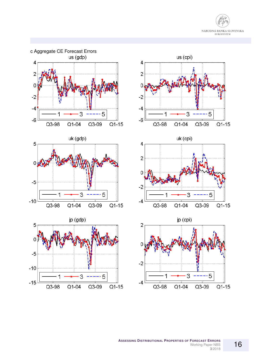

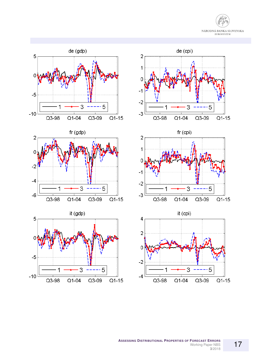

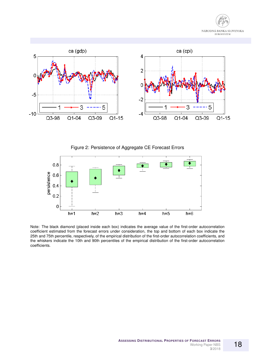



<span id="page-17-0"></span>Figure 2: Persistence of Aggregate CE Forecast Errors



Note: The black diamond (placed inside each box) indicates the average value of the first-order autocorrelation coefficient estimated from the forecast errors under consideration, the top and bottom of each box indicate the 25th and 75th percentile, respectively, of the empirical distribution of the first-order autocorrelation coefficients, and the whiskers indicate the 10th and 90th percentiles of the empirical distribution of the first-order autocorrelation coefficients.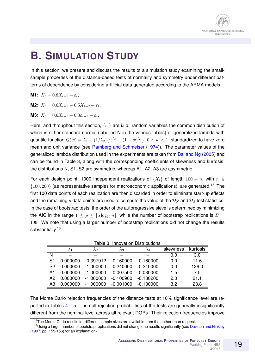

## **B. SIMULATION STUDY**

In this section, we present and discuss the results of a simulation study examining the smallsample properties of the distance-based tests of normality and symmetry under different patterns of dependence by considering artificial data generated according to the ARMA models

**M1:** 
$$
X_t = 0.8X_{t-1} + \varepsilon_t
$$
,

**M2:** 
$$
X_t = 0.6X_{t-1} - 0.5X_{t-2} + \varepsilon_t
$$
,

**M3:**  $X_t = 0.6X_{t-1} + 0.3\varepsilon_{t-1} + \varepsilon_t$ .

Here, and throughout this section,  $\{\varepsilon_t\}$  are i.i.d. random variables the common distribution of which is either standard normal (labelled N in the various tables) or generalized lambda with quantile function  $Q(w)=\lambda_1+(1/\lambda_2)\{w^{\lambda_3}-(1-w)^{\lambda_4}\},\, 0< w < 1,$  standardized to have zero mean and unit variance (see [Ramberg and Schmeiser](#page-13-13) [\(1974\)](#page-13-13)). The parameter values of the generalized lambda distribution used in the experiments are taken from [Bai and Ng](#page-12-13) [\(2005\)](#page-12-13) and can be found in Table [3,](#page-18-0) along with the corresponding coefficients of skewness and kurtosis; the distributions N, S1, S2 are symmetric, whereas A1, A2, A3 are asymmetric.

For each design point, 1000 independent realizations of  $\{X_t\}$  of length  $100 + n$ , with  $n \in$  $\{100, 200\}$  (as representative samples for macroeconomic applications), are generated.<sup>[15](#page-18-1)</sup> The first 100 data points of each realization are then discarded in order to eliminate start-up effects and the remaining n data points are used to compute the value of the  $\mathcal{D}_N$  and  $\mathcal{D}_S$  test statistics. In the case of bootstrap tests, the order of the autoregressive sieve is determined by minimizing the AIC in the range  $1 \le p \le |5 \log_{10} n|$ , while the number of bootstrap replications is  $B =$ 199. We note that using a larger number of bootstrap replications did not change the results substantially<sup>[16](#page-18-2)</sup>

<span id="page-18-0"></span>

|                | Table 3: Innovation Distributions |             |             |             |          |          |  |  |
|----------------|-----------------------------------|-------------|-------------|-------------|----------|----------|--|--|
|                | $\lambda_1$                       | $\lambda_2$ | $\lambda_3$ | $\lambda_4$ | skewness | kurtosis |  |  |
| N              |                                   |             |             |             | 0.0      | 3.0      |  |  |
| S <sub>1</sub> | 0.000000                          | $-0.397912$ | $-0.160000$ | $-0.160000$ | 0.0      | 11.6     |  |  |
| S <sub>2</sub> | 0.000000                          | $-1.000000$ | $-0.240000$ | $-0.240000$ | 0.0      | 126.0    |  |  |
| A <sub>1</sub> | 0.000000                          | $-1.000000$ | $-0.007500$ | $-0.030000$ | 1.5      | 7.5      |  |  |
| A <sub>2</sub> | 0.000000                          | $-1.000000$ | $-0.100900$ | $-0.180200$ | 2.0      | 21.1     |  |  |
| A <sub>3</sub> | 0.000000                          | $-1.000000$ | $-0.001000$ | $-0.130000$ | 3.2      | 23.8     |  |  |

The Monte Carlo rejection frequencies of the distance tests at 10% significance level are reported in Tables  $4 - 5$  $4 - 5$ . The null rejection probabilities of the tests are generally insignificantly different from the nominal level across all relevant DGPs. Their rejection frequencies improve

<span id="page-18-2"></span><span id="page-18-1"></span> $15$ The Monte Carlo results for different sample sizes are available from the author upon request.

<sup>&</sup>lt;sup>16</sup>Using a larger number of bootstrap replications did not change the results significantly (see [Davison and Hinkley](#page-12-14) [\(1997,](#page-12-14) pp. 155-156) for an explanation).